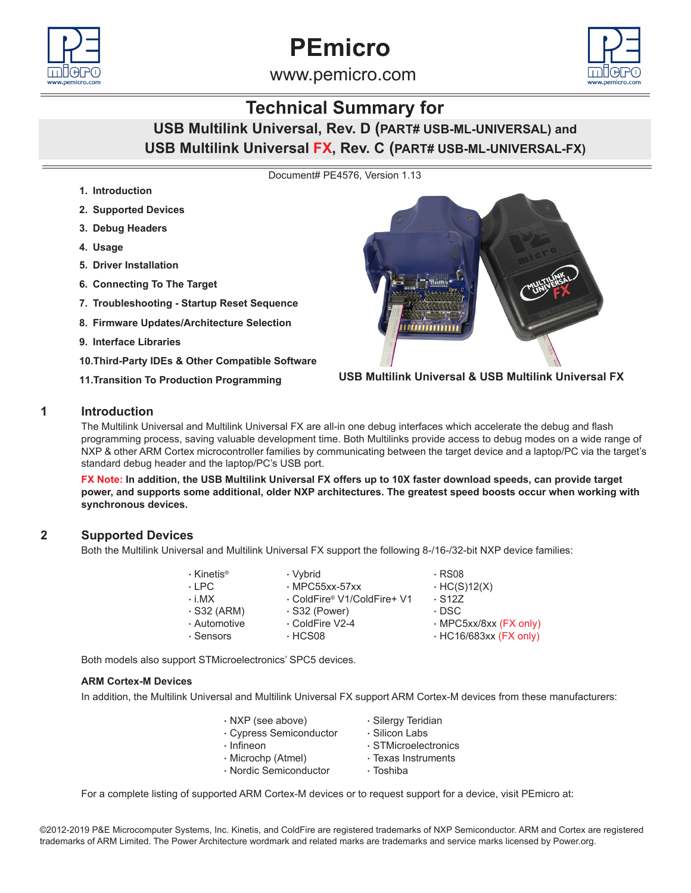



www.pemicro.com

# **Technical Summary for**

**USB Multilink Universal, Rev. D (PART# USB-ML-UNIVERSAL) and USB Multilink Universal FX, Rev. C (PART# USB-ML-UNIVERSAL-FX)**

Document# PE4576, Version 1.13

- **1. Introduction**
- **2. Supported Devices**
- **3. Debug Headers**
- **4. Usage**
- **5. Driver Installation**
- **6. Connecting To The Target**
- **7. Troubleshooting Startup Reset Sequence**
- **8. Firmware Updates/Architecture Selection**
- **9. Interface Libraries**
- **10.Third-Party IDEs & Other Compatible Software**
- **11.Transition To Production Programming**



**USB Multilink Universal & USB Multilink Universal FX**

# **1 Introduction**

The Multilink Universal and Multilink Universal FX are all-in one debug interfaces which accelerate the debug and flash programming process, saving valuable development time. Both Multilinks provide access to debug modes on a wide range of NXP & other ARM Cortex microcontroller families by communicating between the target device and a laptop/PC via the target's standard debug header and the laptop/PC's USB port.

**FX Note: In addition, the USB Multilink Universal FX offers up to 10X faster download speeds, can provide target power, and supports some additional, older NXP architectures. The greatest speed boosts occur when working with synchronous devices.**

# **2 Supported Devices**

Both the Multilink Universal and Multilink Universal FX support the following 8-/16-/32-bit NXP device families:

| $\cdot$ Kinetis <sup>®</sup> | · Vybrid                    | $\cdot$ RS08                 |
|------------------------------|-----------------------------|------------------------------|
| $\cdot$ I PC.                | $·$ MPC55xx-57xx            | $\cdot$ HC(S)12(X)           |
| $\cdot$ i MX                 | . ColdFire® V1/ColdFire+ V1 | $\cdot$ S <sub>127</sub>     |
| $\cdot$ S32 (ARM)            | $\cdot$ S32 (Power)         | · DSC                        |
| · Automotive                 | ⋅ ColdFire V2-4             | · MPC5xx/8xx (FX only)       |
| $\cdot$ Sensors              | $\cdot$ HCS08               | $\cdot$ HC16/683xx (FX only) |
|                              |                             |                              |

Both models also support STMicroelectronics' SPC5 devices.

#### **ARM Cortex-M Devices**

In addition, the Multilink Universal and Multilink Universal FX support ARM Cortex-M devices from these manufacturers:

| $\cdot$ NXP (see above) | · Silergy Teridian   |
|-------------------------|----------------------|
| · Cypress Semiconductor | · Silicon Labs       |
| $\cdot$ Infineon        | · STMicroelectronics |
| · Microchp (Atmel)      | · Texas Instruments  |
| · Nordic Semiconductor  | · Toshiba            |

For a complete listing of supported ARM Cortex-M devices or to request support for a device, visit PEmicro at:

©2012-2019 P&E Microcomputer Systems, Inc. Kinetis, and ColdFire are registered trademarks of NXP Semiconductor. ARM and Cortex are registered trademarks of ARM Limited. The Power Architecture wordmark and related marks are trademarks and service marks licensed by Power.org.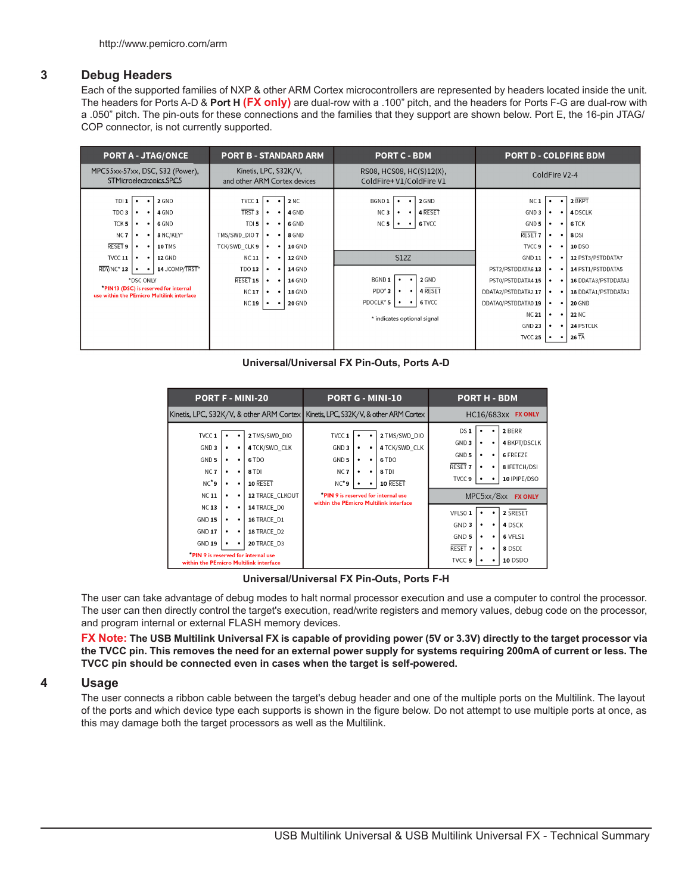# **3 Debug Headers**

Each of the supported families of NXP & other ARM Cortex microcontrollers are represented by headers located inside the unit. The headers for Ports A-D & **Port H (FX only)** are dual-row with a .100" pitch, and the headers for Ports F-G are dual-row with a .050" pitch. The pin-outs for these connections and the families that they support are shown below. Port E, the 16-pin JTAG/ COP connector, is not currently supported.

| <b>PORT A - JTAG/ONCE</b>                                                                                                                                                                                                                                                                                                                                                                                                                                                          | <b>PORT B - STANDARD ARM</b>                                                                                                                                                                                                                                                                                                                                                                                                                                                                                                 | <b>PORT C - BDM</b>                                                                                                                                                                                                                                                                                  | <b>PORT D - COLDFIRE BDM</b>                                                                                                                                                                                                                                                                                                                                                                                                                                                                                                                                                                                                                                                                                                                                                         |  |  |  |  |
|------------------------------------------------------------------------------------------------------------------------------------------------------------------------------------------------------------------------------------------------------------------------------------------------------------------------------------------------------------------------------------------------------------------------------------------------------------------------------------|------------------------------------------------------------------------------------------------------------------------------------------------------------------------------------------------------------------------------------------------------------------------------------------------------------------------------------------------------------------------------------------------------------------------------------------------------------------------------------------------------------------------------|------------------------------------------------------------------------------------------------------------------------------------------------------------------------------------------------------------------------------------------------------------------------------------------------------|--------------------------------------------------------------------------------------------------------------------------------------------------------------------------------------------------------------------------------------------------------------------------------------------------------------------------------------------------------------------------------------------------------------------------------------------------------------------------------------------------------------------------------------------------------------------------------------------------------------------------------------------------------------------------------------------------------------------------------------------------------------------------------------|--|--|--|--|
| MPC55xx-57xx, DSC, S32 (Power),<br>STMicroelectronics SPC5                                                                                                                                                                                                                                                                                                                                                                                                                         | Kinetis, LPC, S32K/V,<br>and other ARM Cortex devices                                                                                                                                                                                                                                                                                                                                                                                                                                                                        | RS08, HCS08, HC(S)12(X),<br>ColdFire+V1/ColdFire V1                                                                                                                                                                                                                                                  | ColdFire V2-4                                                                                                                                                                                                                                                                                                                                                                                                                                                                                                                                                                                                                                                                                                                                                                        |  |  |  |  |
| TDI1<br>2 GND<br>$\bullet$<br>$\bullet$<br>TDO <sub>3</sub><br>4 GND<br>$\bullet$<br>$\bullet$<br>TCK <sub>5</sub><br>6 GND<br>٠<br>$\bullet$<br>NC <sub>7</sub><br>8 NC/KEY*<br>٠<br>$\bullet$<br><b>RESET 9</b><br><b>10 TMS</b><br>٠<br>$\bullet$<br><b>TVCC 11</b><br><b>12 GND</b><br>$\bullet$<br>$\bullet$<br>$RDY/NC^*$ 13<br>14 JCOMP/TRST*<br>$\bullet$<br>$\bullet$<br>*DSC ONLY<br>"PIN13 (DSC) is reserved for internal<br>use within the PEmicro Multilink interface | TVCC 1<br><b>2 NC</b><br>$\bullet$<br>$\bullet$<br>TRST <sub>3</sub><br>4 GND<br>$\bullet$<br>$\bullet$<br>TDI <sub>5</sub><br>6 GND<br>$\bullet$<br>٠<br>TMS/SWD_DIO 7<br>8 GND<br>$\bullet$<br>$\bullet$<br>TCK/SWD_CLK 9<br><b>10 GND</b><br>$\bullet$<br>٠<br><b>NC11</b><br><b>12 GND</b><br>$\bullet$<br>$\bullet$<br><b>TDO 13</b><br><b>14 GND</b><br>$\bullet$<br>$\bullet$<br>RESET 15<br>16 GND<br>$\bullet$<br>٠<br><b>NC17</b><br><b>18 GND</b><br>$\bullet$<br>٠<br><b>NC 19</b><br><b>20 GND</b><br>$\bullet$ | BGND 1<br>2 GND<br>4 RESET<br>NC <sub>3</sub><br>$\bullet$<br>$\bullet$<br>6 TVCC<br>NC 5<br>$\bullet$<br>$\bullet$<br><b>S12Z</b><br>2 GND<br>BGND 1<br>$\bullet$<br>$\bullet$<br>$\cdot$   4 RESET<br>$PDO*3$<br>٠<br>PDOCLK* 5<br>6 TVCC<br>$\bullet$<br>$\cdot$ 1<br>* indicates optional signal | 2 BKPT<br>NC <sub>1</sub><br>$\bullet$<br>$\bullet$<br>4 DSCLK<br>GND <sub>3</sub><br>$\bullet$<br>$\bullet$<br>GND 5<br>6 TCK<br>$\bullet$<br>$\bullet$<br>RESET <sub>7</sub><br>8 DSI<br>$\bullet$<br>$\bullet$<br>TVCC 9<br>10 DSO<br>$\bullet$<br>$\bullet$<br>12 PST3/PSTDDATA7<br><b>GND 11</b><br>$\cdot$ .<br>$\bullet$<br>PST2/PSTDDATA6 13<br>14 PST1/PSTDDATA5<br>$\bullet$<br>$\bullet$<br>PST0/PSTDDATA4 15<br>16 DDATA3/PSTDDATA3<br>$\bullet$<br>$\bullet$<br>DDATA2/PSTDDATA2 17<br>18 DDATA1/PSTDDATA1<br>$\bullet$<br>$\bullet$<br>DDATA0/PSTDDATA0 19<br><b>20 GND</b><br>$\bullet$<br>$\bullet$<br><b>NC 21</b><br><b>22 NC</b><br>$\bullet$<br>$\bullet$<br>GND 23<br>24 PSTCLK<br>$\bullet$<br>$\bullet$<br>$26\ \overline{TA}$<br><b>TVCC 25</b><br>$\bullet$ |  |  |  |  |

**Universal/Universal FX Pin-Outs, Ports A-D**

| <b>PORT F - MINI-20</b>                                                                                       |                       | <b>PORT G - MINI-10</b>                               |                                                                                                 |                                                                                                                 |                              | <b>PORT H - BDM</b> |  |                                                              |  |                                                                   |                                   |                                  |                                                                                             |
|---------------------------------------------------------------------------------------------------------------|-----------------------|-------------------------------------------------------|-------------------------------------------------------------------------------------------------|-----------------------------------------------------------------------------------------------------------------|------------------------------|---------------------|--|--------------------------------------------------------------|--|-------------------------------------------------------------------|-----------------------------------|----------------------------------|---------------------------------------------------------------------------------------------|
| Kinetis, LPC, S32K/V, & other ARM Cortex                                                                      |                       | Kinetis, LPC, S32K/V, & other ARM Cortex              |                                                                                                 |                                                                                                                 | HC16/683xx<br><b>FX ONLY</b> |                     |  |                                                              |  |                                                                   |                                   |                                  |                                                                                             |
| TVCC 1<br>GND <sub>3</sub><br>GND <sub>5</sub><br>NC <sub>7</sub><br>NC*9<br>NC <sub>11</sub>                 | ٠<br>٠<br>٠<br>٠<br>٠ | $\bullet$<br>٠<br>$\bullet$<br>$\bullet$<br>$\bullet$ | 2 TMS/SWD DIO<br>4 TCK/SWD_CLK<br>6TDO<br>8 TDI<br>10 RESET<br>12 TRACE_CLKOUT                  | TVCC 1<br>GND <sub>3</sub><br>GND <sub>5</sub><br>NC <sub>7</sub><br>NC*9<br>PIN 9 is reserved for internal use | ٠<br>$\bullet$<br>٠          | ٠<br>٠<br>$\bullet$ |  | 2 TMS/SWD DIO<br>4 TCK/SWD_CLK<br>6 TDO<br>8 TDI<br>10 RESET |  | DS 1<br>GND <sub>3</sub><br>GND 5<br>RESET <sub>7</sub><br>TVCC 9 | ٠<br>٠<br>$\bullet$<br>MPC5xx/8xx | $\bullet$<br>٠<br>$\bullet$<br>٠ | 2 BERR<br>4 BKPT/DSCLK<br><b>6 FREEZE</b><br>8 IFETCH/DSI<br>10 IPIPE/DSO<br><b>FX ONLY</b> |
| NC <sub>13</sub><br><b>GND 15</b><br><b>GND 17</b><br><b>GND 19</b><br>within the PEmicro Multilink interface | ٠<br>$\bullet$<br>٠   | $\bullet$<br>$\bullet$<br>$\bullet$<br>٠              | 14 TRACE DO<br>16 TRACE_D1<br>18 TRACE D2<br>20 TRACE D3<br>"PIN 9 is reserved for internal use | within the PEmicro Multilink interface                                                                          |                              |                     |  |                                                              |  | VFLSO 1<br>GND 3<br>GND 5<br>RESET <sub>7</sub><br>TVCC 9         | ٠<br>٠<br>٠                       | ٠<br>٠<br>٠<br>٠<br>٠            | 2 SRESET<br>4 DSCK<br>6 VFLS1<br>8 DSDI<br>10 DSDO                                          |

**Universal/Universal FX Pin-Outs, Ports F-H**

The user can take advantage of debug modes to halt normal processor execution and use a computer to control the processor. The user can then directly control the target's execution, read/write registers and memory values, debug code on the processor, and program internal or external FLASH memory devices.

**FX Note: The USB Multilink Universal FX is capable of providing power (5V or 3.3V) directly to the target processor via the TVCC pin. This removes the need for an external power supply for systems requiring 200mA of current or less. The TVCC pin should be connected even in cases when the target is self-powered.**

# **4 Usage**

The user connects a ribbon cable between the target's debug header and one of the multiple ports on the Multilink. The layout of the ports and which device type each supports is shown in the figure below. Do not attempt to use multiple ports at once, as this may damage both the target processors as well as the Multilink.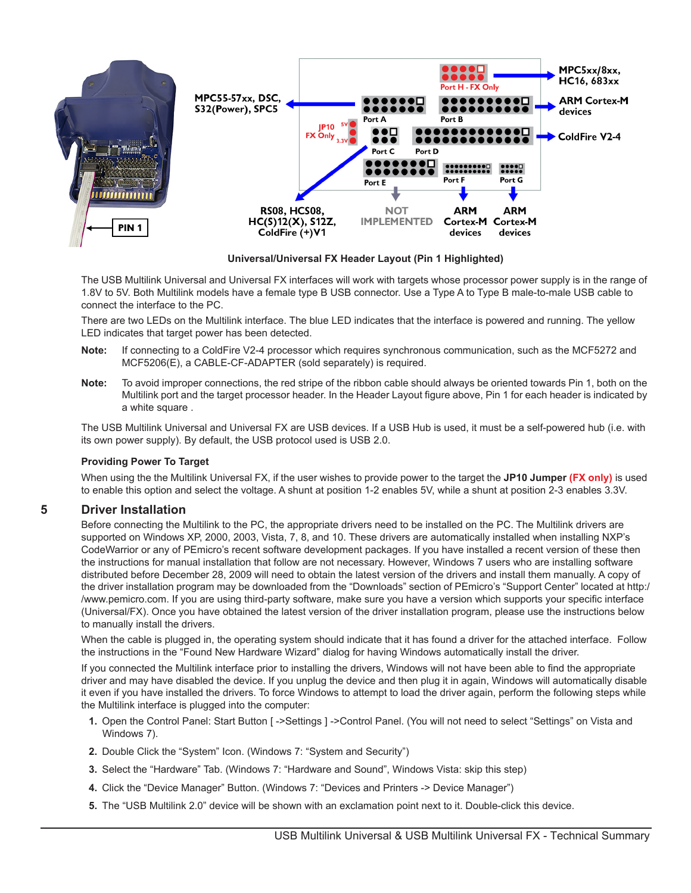

**Universal/Universal FX Header Layout (Pin 1 Highlighted)**

The USB Multilink Universal and Universal FX interfaces will work with targets whose processor power supply is in the range of 1.8V to 5V. Both Multilink models have a female type B USB connector. Use a Type A to Type B male-to-male USB cable to connect the interface to the PC.

There are two LEDs on the Multilink interface. The blue LED indicates that the interface is powered and running. The yellow LED indicates that target power has been detected.

- **Note:** If connecting to a ColdFire V2-4 processor which requires synchronous communication, such as the MCF5272 and MCF5206(E), a CABLE-CF-ADAPTER (sold separately) is required.
- **Note:** To avoid improper connections, the red stripe of the ribbon cable should always be oriented towards Pin 1, both on the Multilink port and the target processor header. In the Header Layout figure above, Pin 1 for each header is indicated by a white square .

The USB Multilink Universal and Universal FX are USB devices. If a USB Hub is used, it must be a self-powered hub (i.e. with its own power supply). By default, the USB protocol used is USB 2.0.

## **Providing Power To Target**

When using the the Multilink Universal FX, if the user wishes to provide power to the target the **JP10 Jumper (FX only)** is used to enable this option and select the voltage. A shunt at position 1-2 enables 5V, while a shunt at position 2-3 enables 3.3V.

## **5 Driver Installation**

Before connecting the Multilink to the PC, the appropriate drivers need to be installed on the PC. The Multilink drivers are supported on Windows XP, 2000, 2003, Vista, 7, 8, and 10. These drivers are automatically installed when installing NXP's CodeWarrior or any of PEmicro's recent software development packages. If you have installed a recent version of these then the instructions for manual installation that follow are not necessary. However, Windows 7 users who are installing software distributed before December 28, 2009 will need to obtain the latest version of the drivers and install them manually. A copy of the driver installation program may be downloaded from the "Downloads" section of PEmicro's "Support Center" located at http:/ /www.pemicro.com. If you are using third-party software, make sure you have a version which supports your specific interface (Universal/FX). Once you have obtained the latest version of the driver installation program, please use the instructions below to manually install the drivers.

When the cable is plugged in, the operating system should indicate that it has found a driver for the attached interface. Follow the instructions in the "Found New Hardware Wizard" dialog for having Windows automatically install the driver.

If you connected the Multilink interface prior to installing the drivers, Windows will not have been able to find the appropriate driver and may have disabled the device. If you unplug the device and then plug it in again, Windows will automatically disable it even if you have installed the drivers. To force Windows to attempt to load the driver again, perform the following steps while the Multilink interface is plugged into the computer:

- **1.** Open the Control Panel: Start Button [ ->Settings ] ->Control Panel. (You will not need to select "Settings" on Vista and Windows 7).
- **2.** Double Click the "System" Icon. (Windows 7: "System and Security")
- **3.** Select the "Hardware" Tab. (Windows 7: "Hardware and Sound", Windows Vista: skip this step)
- **4.** Click the "Device Manager" Button. (Windows 7: "Devices and Printers -> Device Manager")
- **5.** The "USB Multilink 2.0" device will be shown with an exclamation point next to it. Double-click this device.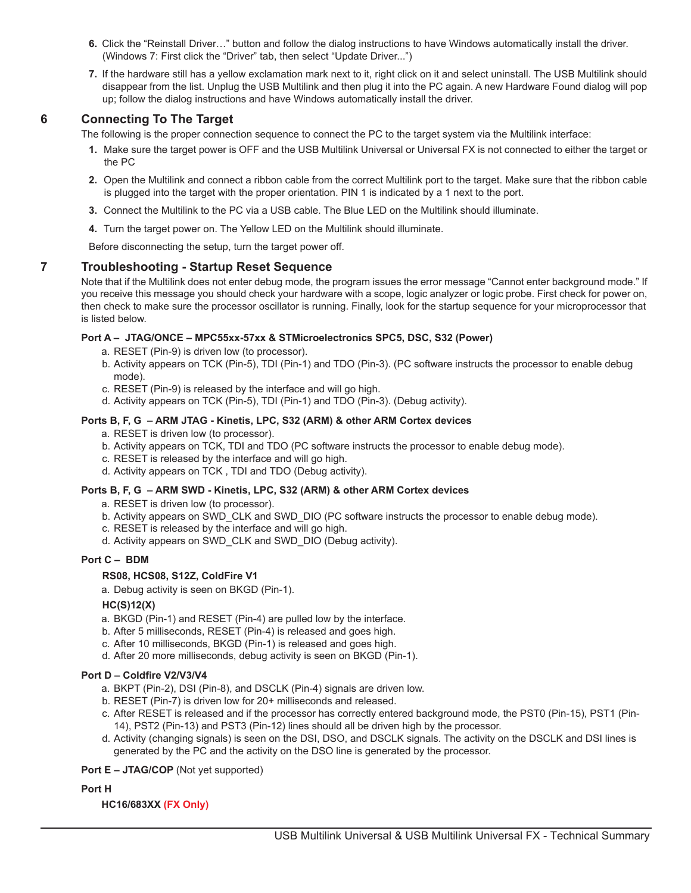- **6.** Click the "Reinstall Driver…" button and follow the dialog instructions to have Windows automatically install the driver. (Windows 7: First click the "Driver" tab, then select "Update Driver...")
- **7.** If the hardware still has a yellow exclamation mark next to it, right click on it and select uninstall. The USB Multilink should disappear from the list. Unplug the USB Multilink and then plug it into the PC again. A new Hardware Found dialog will pop up; follow the dialog instructions and have Windows automatically install the driver.

# **6 Connecting To The Target**

The following is the proper connection sequence to connect the PC to the target system via the Multilink interface:

- **1.** Make sure the target power is OFF and the USB Multilink Universal or Universal FX is not connected to either the target or the PC
- **2.** Open the Multilink and connect a ribbon cable from the correct Multilink port to the target. Make sure that the ribbon cable is plugged into the target with the proper orientation. PIN 1 is indicated by a 1 next to the port.
- **3.** Connect the Multilink to the PC via a USB cable. The Blue LED on the Multilink should illuminate.
- **4.** Turn the target power on. The Yellow LED on the Multilink should illuminate.

Before disconnecting the setup, turn the target power off.

# **7 Troubleshooting - Startup Reset Sequence**

Note that if the Multilink does not enter debug mode, the program issues the error message "Cannot enter background mode." If you receive this message you should check your hardware with a scope, logic analyzer or logic probe. First check for power on, then check to make sure the processor oscillator is running. Finally, look for the startup sequence for your microprocessor that is listed below.

#### **Port A – JTAG/ONCE – MPC55xx-57xx & STMicroelectronics SPC5, DSC, S32 (Power)**

- a. RESET (Pin-9) is driven low (to processor).
- b. Activity appears on TCK (Pin-5), TDI (Pin-1) and TDO (Pin-3). (PC software instructs the processor to enable debug mode).
- c. RESET (Pin-9) is released by the interface and will go high.
- d. Activity appears on TCK (Pin-5), TDI (Pin-1) and TDO (Pin-3). (Debug activity).

#### **Ports B, F, G – ARM JTAG - Kinetis, LPC, S32 (ARM) & other ARM Cortex devices**

- a. RESET is driven low (to processor).
- b. Activity appears on TCK, TDI and TDO (PC software instructs the processor to enable debug mode).
- c. RESET is released by the interface and will go high.
- d. Activity appears on TCK , TDI and TDO (Debug activity).

## **Ports B, F, G – ARM SWD - Kinetis, LPC, S32 (ARM) & other ARM Cortex devices**

- a. RESET is driven low (to processor).
- b. Activity appears on SWD\_CLK and SWD\_DIO (PC software instructs the processor to enable debug mode).
- c. RESET is released by the interface and will go high.
- d. Activity appears on SWD\_CLK and SWD\_DIO (Debug activity).

#### **Port C – BDM**

## **RS08, HCS08, S12Z, ColdFire V1**

a. Debug activity is seen on BKGD (Pin-1).

## **HC(S)12(X)**

- a. BKGD (Pin-1) and RESET (Pin-4) are pulled low by the interface.
- b. After 5 milliseconds, RESET (Pin-4) is released and goes high.
- c. After 10 milliseconds, BKGD (Pin-1) is released and goes high.
- d. After 20 more milliseconds, debug activity is seen on BKGD (Pin-1).

#### **Port D – Coldfire V2/V3/V4**

- a. BKPT (Pin-2), DSI (Pin-8), and DSCLK (Pin-4) signals are driven low.
- b. RESET (Pin-7) is driven low for 20+ milliseconds and released.
- c. After RESET is released and if the processor has correctly entered background mode, the PST0 (Pin-15), PST1 (Pin-14), PST2 (Pin-13) and PST3 (Pin-12) lines should all be driven high by the processor.
- d. Activity (changing signals) is seen on the DSI, DSO, and DSCLK signals. The activity on the DSCLK and DSI lines is generated by the PC and the activity on the DSO line is generated by the processor.

#### **Port E – JTAG/COP** (Not yet supported)

#### **Port H**

## **HC16/683XX (FX Only)**